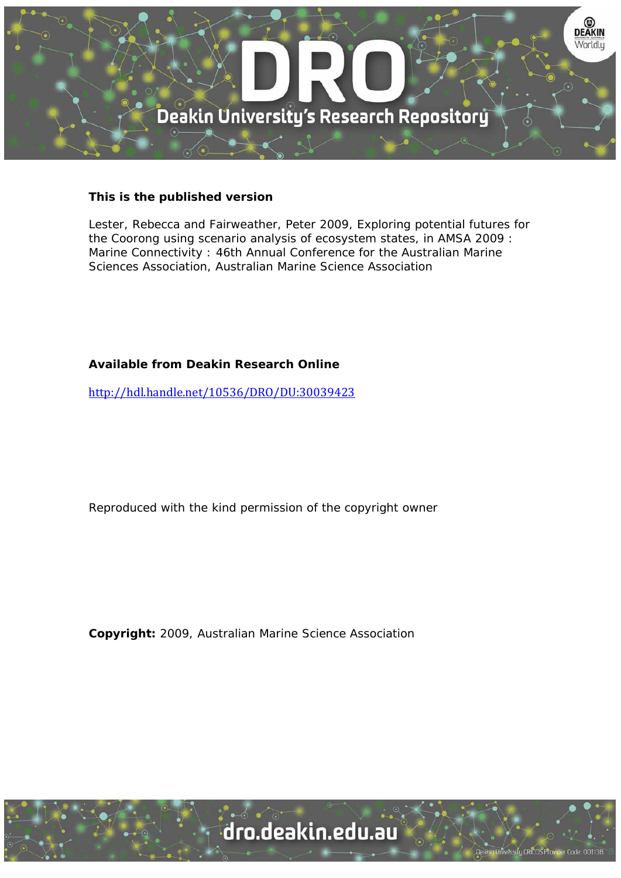

## **This is the published version**

Lester, Rebecca and Fairweather, Peter 2009, Exploring potential futures for the Coorong using scenario analysis of ecosystem states, in AMSA 2009 : Marine Connectivity : 46th Annual Conference for the Australian Marine Sciences Association, Australian Marine Science Association

## **Available from Deakin Research Online**

http://hdl.handle.net/10536/DRO/DU:30039423

Reproduced with the kind permission of the copyright owner

**Copyright:** 2009, Australian Marine Science Association

University CRICOS Provider Code: 00113E